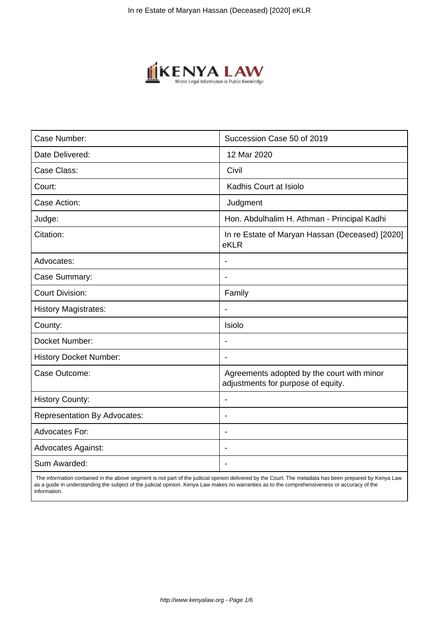

| Case Number:                        | Succession Case 50 of 2019                                                       |
|-------------------------------------|----------------------------------------------------------------------------------|
| Date Delivered:                     | 12 Mar 2020                                                                      |
| Case Class:                         | Civil                                                                            |
| Court:                              | Kadhis Court at Isiolo                                                           |
| Case Action:                        | Judgment                                                                         |
| Judge:                              | Hon. Abdulhalim H. Athman - Principal Kadhi                                      |
| Citation:                           | In re Estate of Maryan Hassan (Deceased) [2020]<br>eKLR                          |
| Advocates:                          |                                                                                  |
| Case Summary:                       | $\blacksquare$                                                                   |
| <b>Court Division:</b>              | Family                                                                           |
| <b>History Magistrates:</b>         |                                                                                  |
| County:                             | Isiolo                                                                           |
| Docket Number:                      | $\overline{\phantom{a}}$                                                         |
| <b>History Docket Number:</b>       | $\overline{\phantom{a}}$                                                         |
| Case Outcome:                       | Agreements adopted by the court with minor<br>adjustments for purpose of equity. |
| <b>History County:</b>              |                                                                                  |
| <b>Representation By Advocates:</b> | $\blacksquare$                                                                   |
| <b>Advocates For:</b>               | $\blacksquare$                                                                   |
| <b>Advocates Against:</b>           |                                                                                  |
| Sum Awarded:                        |                                                                                  |

 The information contained in the above segment is not part of the judicial opinion delivered by the Court. The metadata has been prepared by Kenya Law as a guide in understanding the subject of the judicial opinion. Kenya Law makes no warranties as to the comprehensiveness or accuracy of the information.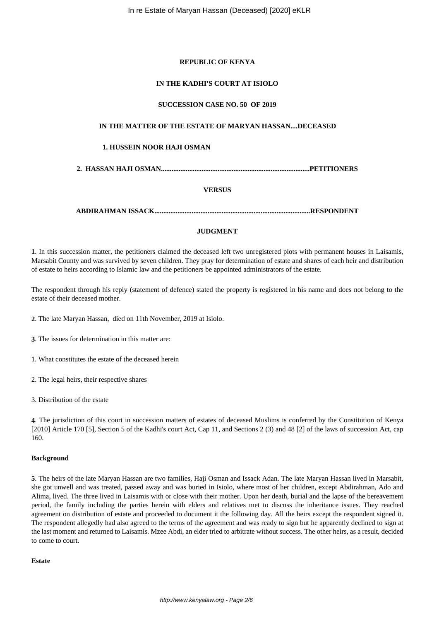# **REPUBLIC OF KENYA**

## **IN THE KADHI'S COURT AT ISIOLO**

## **SUCCESSION CASE NO. 50 OF 2019**

# **IN THE MATTER OF THE ESTATE OF MARYAN HASSAN....DECEASED**

### **1. HUSSEIN NOOR HAJI OSMAN**

**2. HASSAN HAJI OSMAN....................................................................................PETITIONERS**

### **VERSUS**

**ABDIRAHMAN ISSACK........................................................................................RESPONDENT**

## **JUDGMENT**

**1**. In this succession matter, the petitioners claimed the deceased left two unregistered plots with permanent houses in Laisamis, Marsabit County and was survived by seven children. They pray for determination of estate and shares of each heir and distribution of estate to heirs according to Islamic law and the petitioners be appointed administrators of the estate.

The respondent through his reply (statement of defence) stated the property is registered in his name and does not belong to the estate of their deceased mother.

**2**. The late Maryan Hassan, died on 11th November, 2019 at Isiolo.

- **3**. The issues for determination in this matter are:
- 1. What constitutes the estate of the deceased herein
- 2. The legal heirs, their respective shares
- 3. Distribution of the estate

**4**. The jurisdiction of this court in succession matters of estates of deceased Muslims is conferred by the Constitution of Kenya [2010] Article 170 [5], Section 5 of the Kadhi's court Act, Cap 11, and Sections 2 (3) and 48 [2] of the laws of succession Act, cap 160.

## **Background**

**5**. The heirs of the late Maryan Hassan are two families, Haji Osman and Issack Adan. The late Maryan Hassan lived in Marsabit, she got unwell and was treated, passed away and was buried in Isiolo, where most of her children, except Abdirahman, Ado and Alima, lived. The three lived in Laisamis with or close with their mother. Upon her death, burial and the lapse of the bereavement period, the family including the parties herein with elders and relatives met to discuss the inheritance issues. They reached agreement on distribution of estate and proceeded to document it the following day. All the heirs except the respondent signed it. The respondent allegedly had also agreed to the terms of the agreement and was ready to sign but he apparently declined to sign at the last moment and returned to Laisamis. Mzee Abdi, an elder tried to arbitrate without success. The other heirs, as a result, decided to come to court.

## **Estate**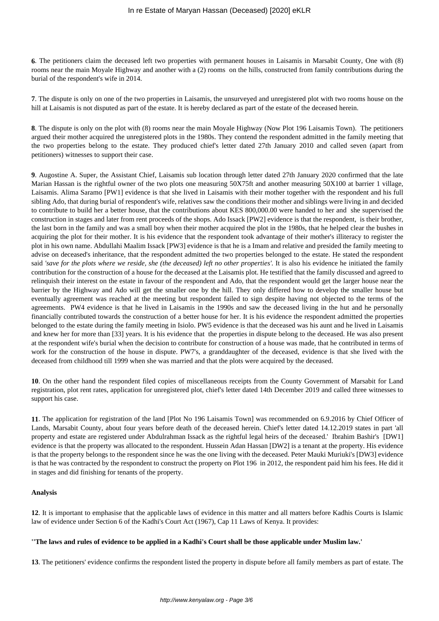**6**. The petitioners claim the deceased left two properties with permanent houses in Laisamis in Marsabit County, One with (8) rooms near the main Moyale Highway and another with a (2) rooms on the hills, constructed from family contributions during the burial of the respondent's wife in 2014.

**7**. The dispute is only on one of the two properties in Laisamis, the unsurveyed and unregistered plot with two rooms house on the hill at Laisamis is not disputed as part of the estate. It is hereby declared as part of the estate of the deceased herein.

**8**. The dispute is only on the plot with (8) rooms near the main Moyale Highway (Now Plot 196 Laisamis Town). The petitioners argued their mother acquired the unregistered plots in the 1980s. They contend the respondent admitted in the family meeting that the two properties belong to the estate. They produced chief's letter dated 27th January 2010 and called seven (apart from petitioners) witnesses to support their case.

**9**. Augostine A. Super, the Assistant Chief, Laisamis sub location through letter dated 27th January 2020 confirmed that the late Marian Hassan is the rightful owner of the two plots one measuring 50X75ft and another measuring 50X100 at barrier 1 village, Laisamis. Alima Saramo [PW1] evidence is that she lived in Laisamis with their mother together with the respondent and his full sibling Ado, that during burial of respondent's wife, relatives saw the conditions their mother and siblings were living in and decided to contribute to build her a better house, that the contributions about KES 800,000.00 were handed to her and she supervised the construction in stages and later from rent proceeds of the shops. Ado Issack [PW2] evidence is that the respondent, is their brother, the last born in the family and was a small boy when their mother acquired the plot in the 1980s, that he helped clear the bushes in acquiring the plot for their mother. It is his evidence that the respondent took advantage of their mother's illiteracy to register the plot in his own name. Abdullahi Maalim Issack [PW3] evidence is that he is a Imam and relative and presided the family meeting to advise on deceased's inheritance, that the respondent admitted the two properties belonged to the estate. He stated the respondent said *'save for the plots where we reside, she (the deceased) left no other properties'.* It is also his evidence he initiated the family contribution for the construction of a house for the deceased at the Laisamis plot. He testified that the family discussed and agreed to relinquish their interest on the estate in favour of the respondent and Ado, that the respondent would get the larger house near the barrier by the Highway and Ado will get the smaller one by the hill. They only differed how to develop the smaller house but eventually agreement was reached at the meeting but respondent failed to sign despite having not objected to the terms of the agreements. PW4 evidence is that he lived in Laisamis in the 1990s and saw the deceased living in the hut and he personally financially contributed towards the construction of a better house for her. It is his evidence the respondent admitted the properties belonged to the estate during the family meeting in Isiolo. PW5 evidence is that the deceased was his aunt and he lived in Laisamis and knew her for more than [33] years. It is his evidence that the properties in dispute belong to the deceased. He was also present at the respondent wife's burial when the decision to contribute for construction of a house was made, that he contributed in terms of work for the construction of the house in dispute. PW7's, a granddaughter of the deceased, evidence is that she lived with the deceased from childhood till 1999 when she was married and that the plots were acquired by the deceased.

**10**. On the other hand the respondent filed copies of miscellaneous receipts from the County Government of Marsabit for Land registration, plot rent rates, application for unregistered plot, chief's letter dated 14th December 2019 and called three witnesses to support his case.

**11**. The application for registration of the land [Plot No 196 Laisamis Town] was recommended on 6.9.2016 by Chief Officer of Lands, Marsabit County, about four years before death of the deceased herein. Chief's letter dated 14.12.2019 states in part 'all property and estate are registered under Abdulrahman Issack as the rightful legal heirs of the deceased.' Ibrahim Bashir's [DW1] evidence is that the property was allocated to the respondent. Hussein Adan Hassan [DW2] is a tenant at the property. His evidence is that the property belongs to the respondent since he was the one living with the deceased. Peter Mauki Muriuki's [DW3] evidence is that he was contracted by the respondent to construct the property on Plot 196 in 2012, the respondent paid him his fees. He did it in stages and did finishing for tenants of the property.

# **Analysis**

**12**. It is important to emphasise that the applicable laws of evidence in this matter and all matters before Kadhis Courts is Islamic law of evidence under Section 6 of the Kadhi's Court Act (1967), Cap 11 Laws of Kenya. It provides:

### **''The laws and rules of evidence to be applied in a Kadhi's Court shall be those applicable under Muslim law.'**

**13**. The petitioners' evidence confirms the respondent listed the property in dispute before all family members as part of estate. The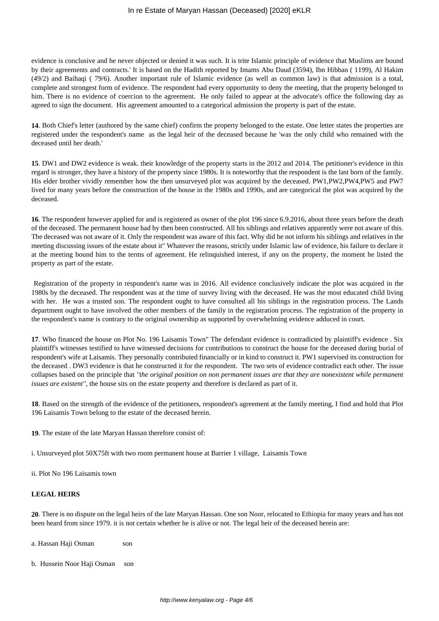evidence is conclusive and he never objected or denied it was such. It is trite Islamic principle of evidence that Muslims are bound by their agreements and contracts.' It is based on the Hadith reported by Imams Abu Daud (3594), Ibn Hibban ( 1199), Al Hakim (49/2) and Baihaqi ( 79/6). Another important rule of Islamic evidence (as well as common law) is that admission is a total, complete and strongest form of evidence. The respondent had every opportunity to deny the meeting, that the property belonged to him. There is no evidence of coercion to the agreement. He only failed to appear at the advocate's office the following day as agreed to sign the document. His agreement amounted to a categorical admission the property is part of the estate.

**14**. Both Chief's letter (authored by the same chief) confirm the property belonged to the estate. One letter states the properties are registered under the respondent's name as the legal heir of the deceased because he 'was the only child who remained with the deceased until her death.'

**15**. DW1 and DW2 evidence is weak. their knowledge of the property starts in the 2012 and 2014. The petitioner's evidence in this regard is stronger, they have a history of the property since 1980s. It is noteworthy that the respondent is the last born of the family. His elder brother vividly remember how the then unsurveyed plot was acquired by the deceased. PW1,PW2,PW4,PW5 and PW7 lived for many years before the construction of the house in the 1980s and 1990s, and are categorical the plot was acquired by the deceased.

**16**. The respondent however applied for and is registered as owner of the plot 196 since 6.9.2016, about three years before the death of the deceased. The permanent house had by then been constructed. All his siblings and relatives apparently were not aware of this. The deceased was not aware of it. Only the respondent was aware of this fact. Why did he not inform his siblings and relatives in the meeting discussing issues of the estate about it" Whatever the reasons, strictly under Islamic law of evidence, his failure to declare it at the meeting bound him to the terms of agreement. He relinquished interest, if any on the property, the moment he listed the property as part of the estate.

Registration of the property in respondent's name was in 2016. All evidence conclusively indicate the plot was acquired in the 1980s by the deceased. The respondent was at the time of survey living with the deceased. He was the most educated child living with her. He was a trusted son. The respondent ought to have consulted all his siblings in the registration process. The Lands department ought to have involved the other members of the family in the registration process. The registration of the property in the respondent's name is contrary to the original ownership as supported by overwhelming evidence adduced in court.

**17**. Who financed the house on Plot No. 196 Laisamis Town" The defendant evidence is contradicted by plaintiff's evidence . Six plaintiff's witnesses testified to have witnessed decisions for contributions to construct the house for the deceased during burial of respondent's wife at Laisamis. They personally contributed financially or in kind to construct it. PW1 supervised its construction for the deceased . DW3 evidence is that he constructed it for the respondent. The two sets of evidence contradict each other. The issue collapses based on the principle that *''the original position on non permanent issues are that they are nonexistent while permanent issues are existent''*, the house sits on the estate property and therefore is declared as part of it.

**18**. Based on the strength of the evidence of the petitioners, respondent's agreement at the family meeting, I find and hold that Plot 196 Laisamis Town belong to the estate of the deceased herein.

**19**. The estate of the late Maryan Hassan therefore consist of:

i. Unsurveyed plot 50X75ft with two room permanent house at Barrier 1 village, Laisamis Town

ii. Plot No 196 Laisamis town

# **LEGAL HEIRS**

**20**. There is no dispute on the legal heirs of the late Maryan Hassan. One son Noor, relocated to Ethiopia for many years and has not been heard from since 1979. it is not certain whether he is alive or not. The legal heir of the deceased herein are:

- a. Hassan Haji Osman son
- b. Hussein Noor Haji Osman son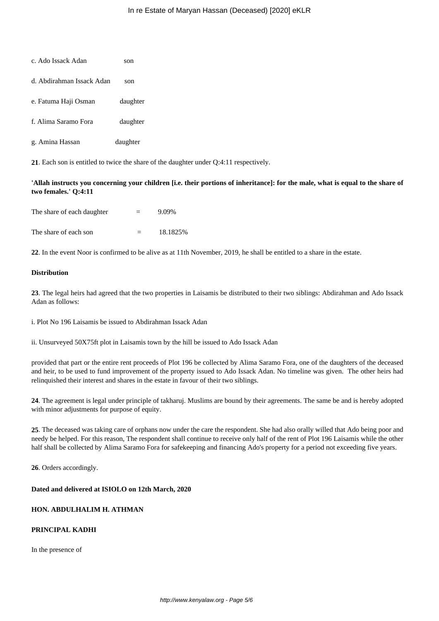| C. AUO ISSACK AUAN        | son      |
|---------------------------|----------|
| d. Abdirahman Issack Adan | son      |
| e. Fatuma Haji Osman      | daughter |
| f. Alima Saramo Fora      | daughter |
| g. Amina Hassan           | daughter |

c. Ado Issack Adan son

**21**. Each son is entitled to twice the share of the daughter under Q:4:11 respectively.

**'Allah instructs you concerning your children [i.e. their portions of inheritance]: for the male, what is equal to the share of two females.' Q:4:11**

| The share of each daughter | $=$ | 9.09%    |
|----------------------------|-----|----------|
| The share of each son      | $=$ | 18.1825% |

**22**. In the event Noor is confirmed to be alive as at 11th November, 2019, he shall be entitled to a share in the estate.

## **Distribution**

**23**. The legal heirs had agreed that the two properties in Laisamis be distributed to their two siblings: Abdirahman and Ado Issack Adan as follows:

i. Plot No 196 Laisamis be issued to Abdirahman Issack Adan

ii. Unsurveyed 50X75ft plot in Laisamis town by the hill be issued to Ado Issack Adan

provided that part or the entire rent proceeds of Plot 196 be collected by Alima Saramo Fora, one of the daughters of the deceased and heir, to be used to fund improvement of the property issued to Ado Issack Adan. No timeline was given. The other heirs had relinquished their interest and shares in the estate in favour of their two siblings.

**24**. The agreement is legal under principle of takharuj. Muslims are bound by their agreements. The same be and is hereby adopted with minor adjustments for purpose of equity.

**25**. The deceased was taking care of orphans now under the care the respondent. She had also orally willed that Ado being poor and needy be helped. For this reason, The respondent shall continue to receive only half of the rent of Plot 196 Laisamis while the other half shall be collected by Alima Saramo Fora for safekeeping and financing Ado's property for a period not exceeding five years.

**26**. Orders accordingly.

## **Dated and delivered at ISIOLO on 12th March, 2020**

# **HON. ABDULHALIM H. ATHMAN**

# **PRINCIPAL KADHI**

In the presence of